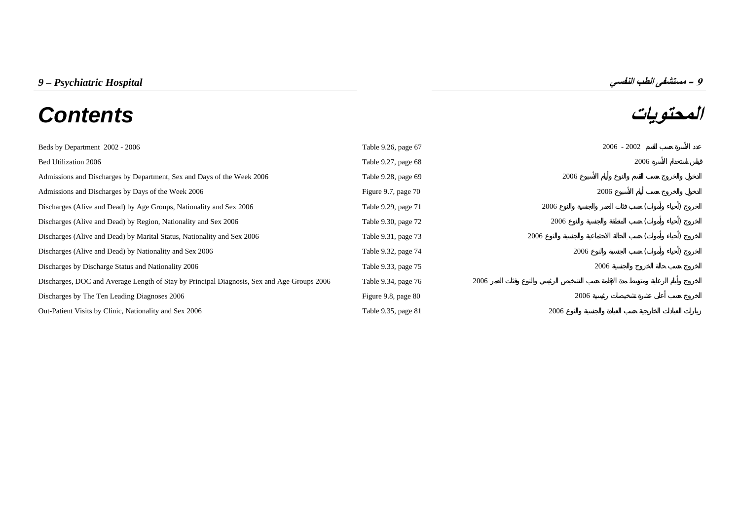# **المحتويات** *Contents*

| Beds by Department 2002 - 2006                                                             | Table 9.26, page 67 |      |      | $2006 - 2002$ |  |
|--------------------------------------------------------------------------------------------|---------------------|------|------|---------------|--|
| Bed Utilization 2006                                                                       | Table 9.27, page 68 |      |      | 2006          |  |
| Admissions and Discharges by Department, Sex and Days of the Week 2006                     | Table 9.28, page 69 |      | 2006 |               |  |
| Admissions and Discharges by Days of the Week 2006                                         | Figure 9.7, page 70 |      | 2006 |               |  |
| Discharges (Alive and Dead) by Age Groups, Nationality and Sex 2006                        | Table 9.29, page 71 |      | 2006 |               |  |
| Discharges (Alive and Dead) by Region, Nationality and Sex 2006                            | Table 9.30, page 72 |      | 2006 |               |  |
| Discharges (Alive and Dead) by Marital Status, Nationality and Sex 2006                    | Table 9.31, page 73 |      | 2006 |               |  |
| Discharges (Alive and Dead) by Nationality and Sex 2006                                    | Table 9.32, page 74 |      | 2006 |               |  |
| Discharges by Discharge Status and Nationality 2006                                        | Table 9.33, page 75 |      | 2006 |               |  |
| Discharges, DOC and Average Length of Stay by Principal Diagnosis, Sex and Age Groups 2006 | Table 9.34, page 76 | 2006 |      |               |  |
| Discharges by The Ten Leading Diagnoses 2006                                               | Figure 9.8, page 80 |      | 2006 |               |  |
| Out-Patient Visits by Clinic, Nationality and Sex 2006                                     | Table 9.35, page 81 |      | 2006 |               |  |

**9**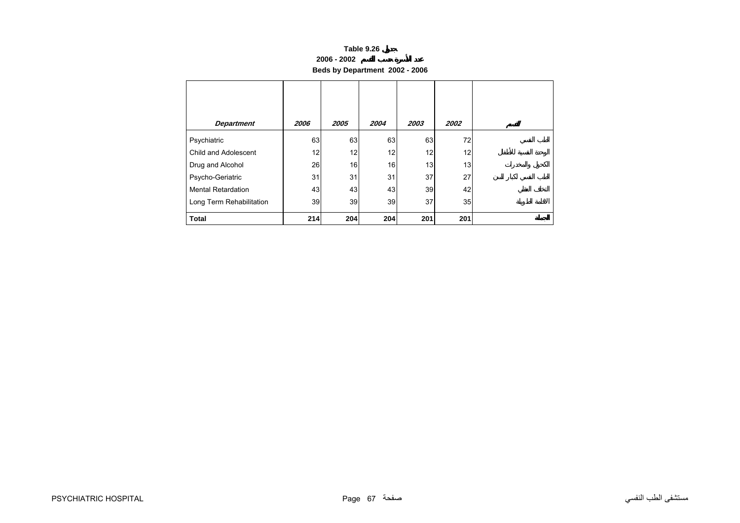#### **2006 - 2002**

**Beds by Department 2002 - 2006**

<span id="page-1-0"></span>

| <b>Department</b>         | 2006 | 2005 | 2004 | 2003 | 2002 |  |
|---------------------------|------|------|------|------|------|--|
| Psychiatric               | 63   | 63   | 63   | 63   | 72   |  |
| Child and Adolescent      | 12   | 12   | 12   | 12   | 12   |  |
| Drug and Alcohol          | 26   | 16   | 16   | 13   | 13   |  |
| Psycho-Geriatric          | 31   | 31   | 31   | 37   | 27   |  |
| <b>Mental Retardation</b> | 43   | 43   | 43   | 39   | 42   |  |
| Long Term Rehabilitation  | 39   | 39   | 39   | 37   | 35   |  |
| <b>Total</b>              | 214  | 204  | 204  | 201  | 201  |  |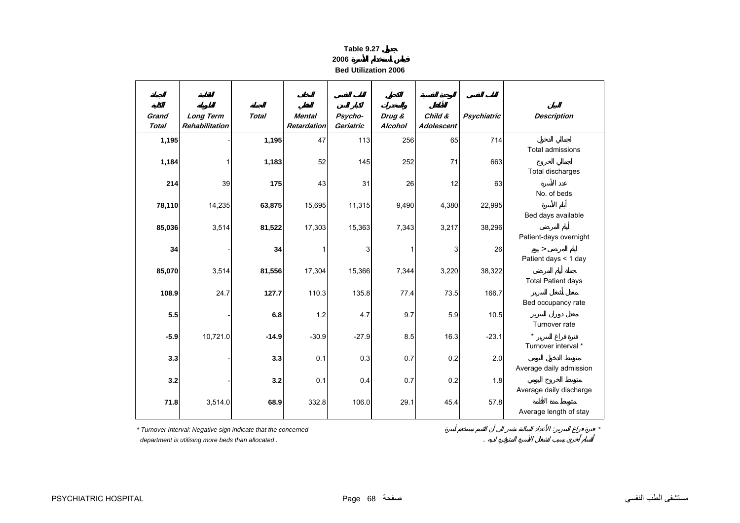**2006**

**Bed Utilization 2006**

<span id="page-2-0"></span>

| Grand<br><b>Total</b> | <b>Long Term</b><br><b>Rehabilitation</b> | <b>Total</b> | Mental<br><b>Retardation</b> | Psycho-<br>Geriatric | Drug &<br>Alcohol | Child &<br><b>Adolescent</b> | Psychiatric | <b>Description</b>        |
|-----------------------|-------------------------------------------|--------------|------------------------------|----------------------|-------------------|------------------------------|-------------|---------------------------|
|                       |                                           |              | 47                           |                      |                   |                              |             |                           |
| 1,195                 |                                           | 1,195        |                              | 113                  | 256               | 65                           | 714         | Total admissions          |
| 1,184                 | 1                                         | 1,183        | 52                           | 145                  | 252               | 71                           | 663         |                           |
|                       |                                           |              |                              |                      |                   |                              |             | Total discharges          |
| 214                   | 39                                        | 175          | 43                           | 31                   | 26                | 12                           | 63          |                           |
|                       |                                           |              |                              |                      |                   |                              |             | No. of beds               |
| 78,110                | 14,235                                    | 63,875       | 15,695                       | 11,315               | 9,490             | 4,380                        | 22,995      | Bed days available        |
| 85,036                | 3,514                                     | 81,522       | 17,303                       | 15,363               | 7,343             | 3,217                        | 38,296      |                           |
|                       |                                           |              |                              |                      |                   |                              |             | Patient-days overnight    |
| 34                    |                                           | 34           | 1                            | 3                    | 1                 | 3                            | 26          | $\geq$                    |
|                       |                                           |              |                              |                      |                   |                              |             | Patient days < 1 day      |
| 85,070                | 3,514                                     | 81,556       | 17,304                       | 15,366               | 7,344             | 3,220                        | 38,322      |                           |
|                       |                                           |              |                              |                      |                   |                              |             | <b>Total Patient days</b> |
| 108.9                 | 24.7                                      | 127.7        | 110.3                        | 135.8                | 77.4              | 73.5                         | 166.7       | Bed occupancy rate        |
| 5.5                   |                                           | 6.8          | 1.2                          | 4.7                  | 9.7               | 5.9                          | 10.5        |                           |
|                       |                                           |              |                              |                      |                   |                              |             | Turnover rate             |
| $-5.9$                | 10,721.0                                  | $-14.9$      | $-30.9$                      | $-27.9$              | 8.5               | 16.3                         | $-23.1$     |                           |
|                       |                                           |              |                              |                      |                   |                              |             | Turnover interval *       |
| 3.3                   |                                           | 3.3          | 0.1                          | 0.3                  | 0.7               | 0.2                          | 2.0         | Average daily admission   |
| 3.2                   |                                           | 3.2          | 0.1                          | 0.4                  | 0.7               | 0.2                          | 1.8         |                           |
|                       |                                           |              |                              |                      |                   |                              |             | Average daily discharge   |
| 71.8                  | 3,514.0                                   | 68.9         | 332.8                        | 106.0                | 29.1              | 45.4                         | 57.8        |                           |
|                       |                                           |              |                              |                      |                   |                              |             | Average length of stay    |

*\* Turnover Interval: Negative sign indicate that the concerned* : *\**

 *department is utilising more beds than allocated .* .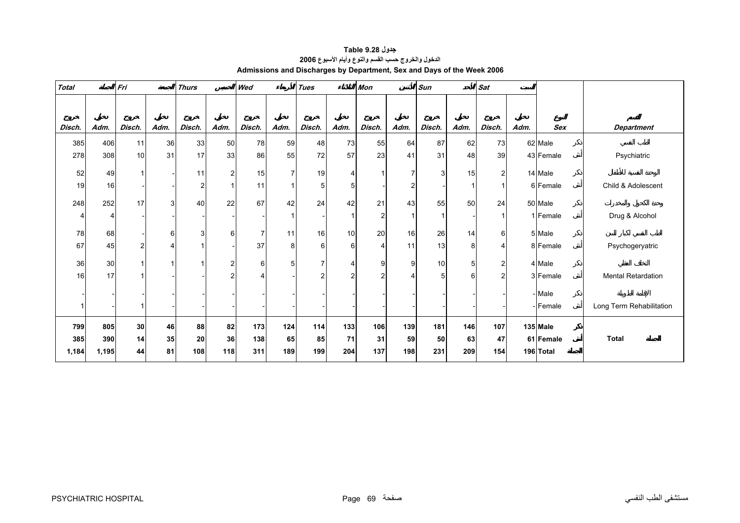<span id="page-3-0"></span>

| <b>Total</b> |       | Fri<br><b>Thurs</b> |              |                         | Wed            |                | <b>Tues</b>    |                | <b>Mon</b> |        | <b>Sun</b>            |                | <b>Sat</b>     |                |      |            |                           |
|--------------|-------|---------------------|--------------|-------------------------|----------------|----------------|----------------|----------------|------------|--------|-----------------------|----------------|----------------|----------------|------|------------|---------------------------|
|              |       |                     |              |                         |                |                |                |                |            |        |                       |                |                |                |      |            |                           |
| Disch.       | Adm.  | Disch.              | Adm.         | Disch.                  | Adm.           | Disch.         | Adm.           | Disch.         | Adm.       | Disch. | Adm.                  | Disch.         | Adm.           | Disch.         | Adm. | <b>Sex</b> | <b>Department</b>         |
| 385          | 406   | 11                  | 36           | 33                      | 50             | 78             | 59             | 48             | 73         | 55     | 64                    | 87             | 62             | 73             |      | 62 Male    |                           |
| 278          | 308   | 10                  | 31           | 17                      | 33             | 86             | 55             | 72             | 57         | 23     | 41                    | 31             | 48             | 39             |      | 43 Female  | Psychiatric               |
| 52           | 49    | $\mathbf{1}$        |              | 11                      | $\overline{2}$ | 15             | $\overline{7}$ | 19             | 4          |        | $\overline{7}$        | 3              | 15             | $\overline{2}$ |      | 14 Male    |                           |
| 19           | 16    |                     |              | $\overline{\mathbf{c}}$ |                | 11             |                | 5 <sub>1</sub> | 5          |        | $\overline{2}$        |                |                |                |      | 6 Female   | Child & Adolescent        |
| 248          | 252   | 17                  | 3            | 40                      | 22             | 67             | 42             | 24             | 42         | 21     | 43                    | 55             | 50             | 24             |      | 50 Male    |                           |
|              |       |                     |              |                         |                |                |                |                |            | 2      |                       | $\mathbf{1}$   |                |                |      | 1 Female   | Drug & Alcohol            |
| 78           | 68    |                     | 6            | 3                       | 6              | $\overline{7}$ | 11             | 16             | 10         | 20     | 16                    | 26             | 14             | $6 \,$         |      | 5 Male     |                           |
| 67           | 45    | 2                   | 4            |                         |                | 37             | 8              | 6              | 6          | 4      | 11                    | 13             | 8              | 4              |      | 8 Female   | Psychogeryatric           |
| 36           | 30    | $\mathbf{1}$        | $\mathbf{1}$ |                         | $\overline{c}$ | 6              | 5              |                |            | 9      | 9                     | 10             | 5 <sup>5</sup> | $\overline{2}$ |      | 4 Male     |                           |
| 16           | 17    |                     |              |                         | 2              | 4              |                | 2              | 2          | 2      | $\boldsymbol{\Delta}$ | 5 <sup>5</sup> | 6              | າ              |      | 3 Female   | <b>Mental Retardation</b> |
|              |       |                     |              |                         |                |                |                |                |            |        |                       |                |                |                |      | - Male     |                           |
|              |       |                     |              |                         |                |                |                |                |            |        |                       |                |                |                |      | - Female   | Long Term Rehabilitation  |
| 799          | 805   | 30                  | 46           | 88                      | 82             | 173            | 124            | 114            | 133        | 106    | 139                   | 181            | 146            | 107            |      | 135 Male   |                           |
| 385          | 390   | 14                  | 35           | 20                      | 36             | 138            | 65             | 85             | 71         | 31     | 59                    | 50             | 63             | 47             |      | 61 Female  | <b>Total</b>              |
| 1,184        | 1,195 | 44                  | 81           | 108                     | 118            | 311            | 189            | 199            | 204        | 137    | 198                   | 231            | 209            | 154            |      | 196 Total  |                           |

**جدول 9.28 Table الدخول والخروج حسب القسم والنوع وأيام الأسبوع<sup>2006</sup> Admissions and Discharges by Department, Sex and Days of the Week 2006**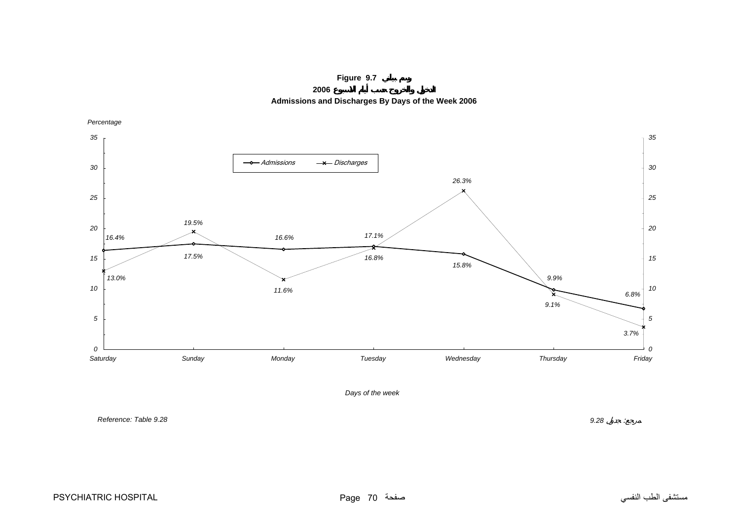

**2006 Admissions and Discharges By Days of the Week 2006**

<span id="page-4-0"></span>*16.4%17.5% 16.6% 17.1% 15.8%9.9% 6.8% 3.7% 9.1%26.3%16.8% 11.6%19.5%13.0% 0 5 10 15 20 25 30 35 Saturday Sunday Monday Tuesday Wednesday Thursday Friday Percentage 0 5 10 15 20 25 30 35* - Admissions  $\rightarrow$  Discharges



*Reference: Table 9.28*

*9.28* :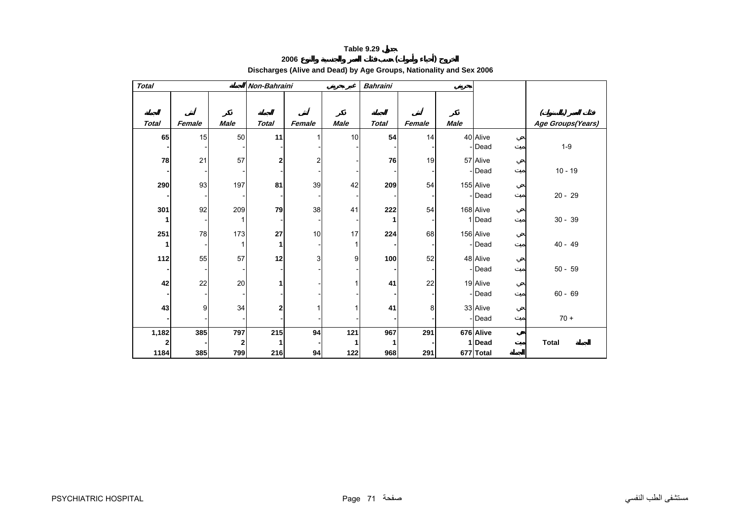# **<sup>2006</sup> ( ) Discharges (Alive and Dead) by Age Groups, Nationality and Sex 2006**

<span id="page-5-0"></span>

| <b>Total</b> |        |              | Non-Bahraini   |                         |             | <b>Bahraini</b> |        |             |           |                   |
|--------------|--------|--------------|----------------|-------------------------|-------------|-----------------|--------|-------------|-----------|-------------------|
|              |        |              |                |                         |             |                 |        |             |           |                   |
|              |        |              |                |                         |             |                 |        |             |           |                   |
| <b>Total</b> | Female | <b>Male</b>  | <b>Total</b>   | Female                  | <b>Male</b> | <b>Total</b>    | Female | <b>Male</b> |           | Age Groups(Years) |
| 65           | 15     | 50           | 11             |                         | 10          | 54              | 14     |             | 40 Alive  |                   |
|              |        |              |                |                         |             |                 |        |             | - Dead    | $1-9$             |
| 78           | 21     | 57           | $\overline{2}$ | $\overline{\mathbf{c}}$ |             | 76              | 19     |             | 57 Alive  |                   |
|              |        |              |                |                         |             |                 |        |             | Dead      | $10 - 19$         |
| 290          | 93     | 197          | 81             | 39                      | 42          | 209             | 54     |             | 155 Alive |                   |
|              |        |              |                |                         |             |                 |        |             | - Dead    | $20 - 29$         |
| 301          | 92     | 209          | 79             | 38                      | 41          | 222             | 54     |             | 168 Alive |                   |
| 1            |        |              |                |                         |             |                 |        |             | 1 Dead    | $30 - 39$         |
| 251          | 78     | 173          | 27             | 10                      | 17          | 224             | 68     |             | 156 Alive |                   |
| 1            |        |              | 1              |                         |             |                 |        |             | - Dead    | $40 - 49$         |
| 112          | 55     | 57           | 12             | 3                       | 9           | 100             | 52     |             | 48 Alive  |                   |
|              |        |              |                |                         |             |                 |        |             | Dead      | $50 - 59$         |
| 42           | 22     | 20           | 1              |                         |             | 41              | 22     |             | 19 Alive  |                   |
|              |        |              |                |                         |             |                 |        |             | - Dead    | $60 - 69$         |
| 43           | 9      | 34           | $\overline{2}$ |                         |             | 41              | 8      |             | 33 Alive  |                   |
|              |        |              |                |                         |             |                 |        |             | -Dead     | $70 +$            |
| 1,182        | 385    | 797          | 215            | 94                      | 121         | 967             | 291    |             | 676 Alive |                   |
| 2            |        | $\mathbf{2}$ | 1              |                         |             |                 |        |             | 1 Dead    | <b>Total</b>      |
| 1184         | 385    | 799          | 216            | 94                      | 122         | 968             | 291    |             | 677 Total |                   |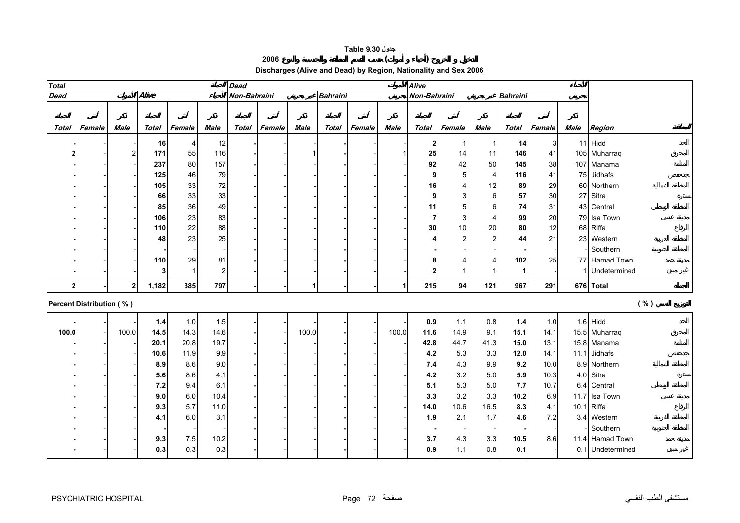# **جدول 9.30 Table**

**<sup>2006</sup> ( )** 

|  |  | Discharges (Alive and Dead) by Region, Nationality and Sex 2006 |  |  |
|--|--|-----------------------------------------------------------------|--|--|
|--|--|-----------------------------------------------------------------|--|--|

<span id="page-6-0"></span>

| <b>Total</b>   |                          |                |       |        |                | <b>Dead</b>  |        |             |                 |        |             | <b>Alive</b> |                |                |                 |        |      |                  |
|----------------|--------------------------|----------------|-------|--------|----------------|--------------|--------|-------------|-----------------|--------|-------------|--------------|----------------|----------------|-----------------|--------|------|------------------|
| <b>Dead</b>    |                          |                | Alive |        |                | Non-Bahraini |        |             | <b>Bahraini</b> |        |             | Non-Bahraini |                |                | <b>Bahraini</b> |        |      |                  |
|                |                          |                |       |        |                |              |        |             |                 |        |             |              |                |                |                 |        |      |                  |
|                |                          |                |       |        |                |              |        |             |                 |        |             |              |                |                |                 |        |      |                  |
| Total          | Female                   | <b>Male</b>    | Total | Female | <b>Male</b>    | <b>Total</b> | Female | <b>Male</b> | Total           | Female | <b>Male</b> | Total        | Female         | <b>Male</b>    | <b>Total</b>    | Female | Male | Region           |
|                |                          |                | 16    | 4      | 12             |              |        |             |                 |        |             | 2            | -1             | 1              | 14              | 3      |      | $11$ Hidd        |
|                |                          | $\overline{c}$ | 171   | 55     | 116            |              |        |             |                 |        |             | 25           | 14             | 11             | 146             | 41     |      | 105 Muharraq     |
|                |                          |                | 237   | 80     | 157            |              |        |             |                 |        |             | 92           | 42             | 50             | 145             | 38     |      | 107 Manama       |
|                |                          |                | 125   | 46     | 79             |              |        |             |                 |        |             | 9            | 5              | $\overline{4}$ | 116             | 41     |      | 75 Jidhafs       |
|                |                          |                | 105   | 33     | 72             |              |        |             |                 |        |             | 16           | $\overline{4}$ | 12             | 89              | 29     |      | 60 Northern      |
|                |                          |                | 66    | 33     | 33             |              |        |             |                 |        |             |              | 3              | $\,6$          | 57              | 30     |      | 27 Sitra         |
|                |                          |                | 85    | 36     | 49             |              |        |             |                 |        |             | 11           | 5              | $\,6$          | 74              | 31     |      | 43 Central       |
|                |                          |                | 106   | 23     | 83             |              |        |             |                 |        |             | 7            | 3              | $\overline{4}$ | 99              | 20     |      | 79 Isa Town      |
|                |                          |                | 110   | 22     | 88             |              |        |             |                 |        |             | 30           | 10             | 20             | 80              | 12     |      | 68 Riffa         |
|                |                          |                | 48    | 23     | 25             |              |        |             |                 |        |             |              | $\overline{2}$ | $\overline{a}$ | 44              | 21     |      | 23 Western       |
|                |                          |                |       |        |                |              |        |             |                 |        |             |              |                |                |                 |        |      | Southern         |
|                |                          |                | 110   | 29     | 81             |              |        |             |                 |        |             |              | 4              | 4              | 102             | 25     |      | 77 Hamad Town    |
|                |                          |                | 3     | -1     | $\overline{2}$ |              |        |             |                 |        |             | 2            | 1              |                | 1               |        |      | Undetermined     |
| 2 <sub>1</sub> |                          | $\overline{2}$ | 1,182 | 385    | 797            |              |        | 1           |                 |        | 1           | 215          | 94             | 121            | 967             | 291    |      | 676 Total        |
|                |                          |                |       |        |                |              |        |             |                 |        |             |              |                |                |                 |        |      |                  |
|                | Percent Distribution (%) |                |       |        |                |              |        |             |                 |        |             |              |                |                |                 |        |      | ( %)             |
|                |                          |                | 1.4   | $1.0$  | 1.5            |              |        |             |                 |        |             | 0.9          | 1.1            | 0.8            | $1.4$           | 1.0    |      | $1.6$ Hidd       |
| 100.0          |                          | 100.0          | 14.5  | 14.3   | 14.6           |              |        | 100.0       |                 |        | 100.0       | 11.6         | 14.9           | 9.1            | 15.1            | 14.1   |      | 15.5 Muharraq    |
|                |                          |                | 20.1  | 20.8   | 19.7           |              |        |             |                 |        |             | 42.8         | 44.7           | 41.3           | 15.0            | 13.1   |      | 15.8 Manama      |
|                |                          |                | 10.6  | 11.9   | 9.9            |              |        |             |                 |        |             | 4.2          | 5.3            | 3.3            | $12.0$          | 14.1   |      | 11.1 Jidhafs     |
|                |                          |                | 8.9   | 8.6    | 9.0            |              |        |             |                 |        |             | 7.4          | 4.3            | 9.9            | 9.2             | 10.0   |      | 8.9 Northern     |
|                |                          |                | 5.6   | 8.6    | 4.1            |              |        |             |                 |        |             | 4.2          | $3.2\,$        | 5.0            | 5.9             | 10.3   |      | 4.0 Sitra        |
|                |                          |                | 7.2   | 9.4    | 6.1            |              |        |             |                 |        |             | 5.1          | 5.3            | 5.0            | 7.7             | 10.7   | 6.4  | Central          |
|                |                          |                | 9.0   | 6.0    | 10.4           |              |        |             |                 |        |             | 3.3          | 3.2            | 3.3            | 10.2            | 6.9    |      | 11.7 Isa Town    |
|                |                          |                | 9.3   | 5.7    | 11.0           |              |        |             |                 |        |             | 14.0         | 10.6           | 16.5           | 8.3             | 4.1    |      | 10.1 Riffa       |
|                |                          |                | 4.1   | 6.0    | 3.1            |              |        |             |                 |        |             | 1.9          | 2.1            | 1.7            | 4.6             | 7.2    |      | 3.4 Western      |
|                |                          |                |       |        |                |              |        |             |                 |        |             |              |                |                |                 |        |      | Southern         |
|                |                          |                | 9.3   | 7.5    | 10.2           |              |        |             |                 |        |             | 3.7          | 4.3            | 3.3            | 10.5            | 8.6    |      | 11.4 Hamad Town  |
|                |                          |                | 0.3   | 0.3    | 0.3            |              |        |             |                 |        |             | 0.9          | 1.1            | 0.8            | 0.1             |        |      | 0.1 Undetermined |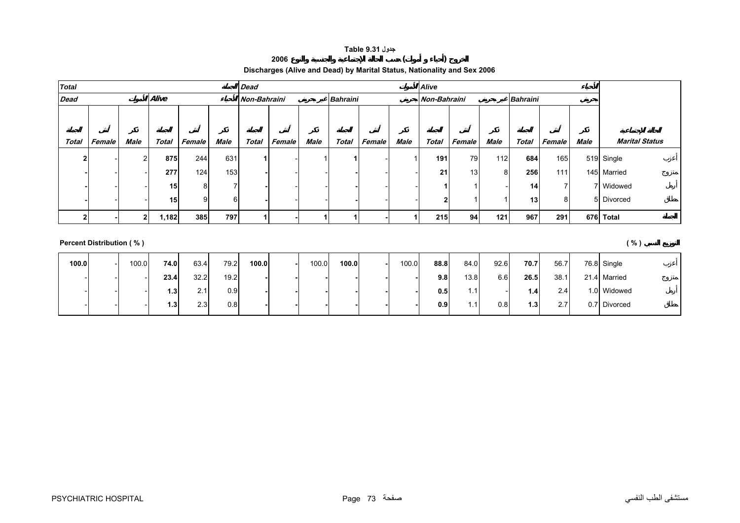### **جدول 9.31 Table**

### **Discharges (Alive and Dead) by Marital Status, Nationality and Sex 2006**

**<sup>2006</sup> ( )** 

<span id="page-7-0"></span>

| <b>Total</b> |        |                |                 |        |             | <b>Dead</b>  |        |             |                 |               |      | <b>Alive</b> |        |      |                 |        |      |                       |
|--------------|--------|----------------|-----------------|--------|-------------|--------------|--------|-------------|-----------------|---------------|------|--------------|--------|------|-----------------|--------|------|-----------------------|
| <b>Dead</b>  |        |                | Alive           |        |             | Non-Bahraini |        |             | <b>Bahraini</b> |               |      | Non-Bahraini |        |      | <b>Bahraini</b> |        |      |                       |
|              |        |                |                 |        |             |              |        |             |                 |               |      |              |        |      |                 |        |      |                       |
|              |        |                |                 |        |             |              |        |             |                 |               |      |              |        |      |                 |        |      |                       |
| Total        | Female | Male           | <b>Total</b>    | Female | <b>Male</b> | <b>Total</b> | Female | <b>Male</b> | <b>Total</b>    | <b>Female</b> | Male | Total        | Female | Male | Total           | Female | Male | <b>Marital Status</b> |
|              |        | $\overline{2}$ | 875             | 244    | 631         |              |        |             |                 |               |      | 191          | 79     | 112  | 684             | 165    |      | 519 Single            |
|              |        |                | 277             | 124    | 153         |              |        |             |                 |               |      | 21           | 13     | 8    | 256             | 111    |      | 145 Married           |
|              |        |                | 15 <sub>1</sub> |        |             |              |        |             |                 |               |      |              |        |      | 14              |        |      | 7 Widowed             |
|              |        |                | 15 <sub>1</sub> |        | 6           |              |        |             |                 |               |      | 2            |        |      | 13              | 8      |      | 5 Divorced            |
|              |        | $\overline{2}$ | 1,182           | 385    | 797         |              |        |             |                 |               |      | 215          | 94     | 121  | 967             | 291    |      | 676 Total             |

## **Percent Distribution ( % ) ( % )**

**100.0** - 100.0 **74.0** 63.4 79.2 **100.0 -** 100.0 **100.0 -** 100.0 **88.8** 84.0 92.6 **70.7** 56.7 76.8 Single --- **23.4** 32.2 19.2 **- - - - - - 9.8** 13.8 6.6 **26.5** 38.1 21.4 Married --- **1.3** 2.1 0.9 **- - - - - - 0.5** 1.1 - **1.4** 2.4 1.0 Widowed --- **1.3**2.3 0.8 **- - - - - - 0.9** 1.1 0.8 **1.3** 2.7 0.7 Divorced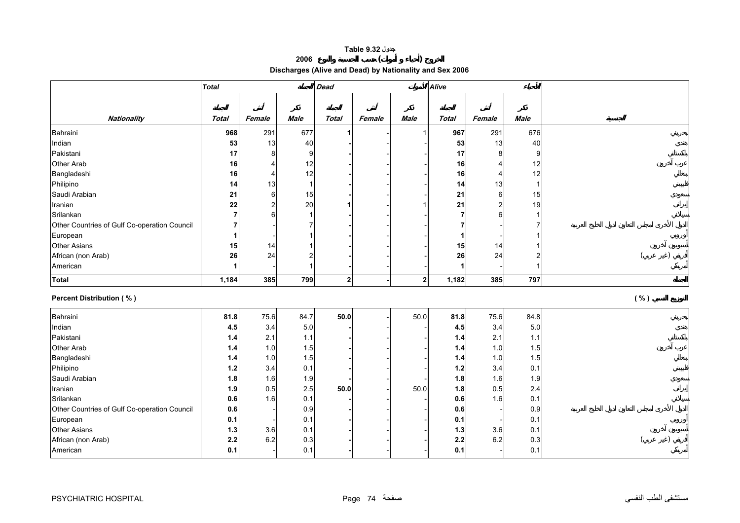# **جدول 9.32 Table**

**<sup>2006</sup> ( )** 

**Discharges (Alive and Dead) by Nationality and Sex 2006** 

<span id="page-8-0"></span>

|                                              | <b>Total</b> |                |                  | <b>Dead</b>  |        |                | <b>Alive</b> |                |                |      |
|----------------------------------------------|--------------|----------------|------------------|--------------|--------|----------------|--------------|----------------|----------------|------|
|                                              |              |                |                  |              |        |                |              |                |                |      |
|                                              |              |                |                  |              |        |                |              |                |                |      |
| <b>Nationality</b>                           | <b>Total</b> | Female         | <b>Male</b>      | <b>Total</b> | Female | <b>Male</b>    | <b>Total</b> | Female         | <b>Male</b>    |      |
| Bahraini                                     | 968          | 291            | 677              |              |        |                | 967          | 291            | 676            |      |
| Indian                                       | 53           | 13             | 40               |              |        |                | 53           | 13             | 40             |      |
| Pakistani                                    | 17           | 8              | 9                |              |        |                | 17           | 8              | 9              |      |
| Other Arab                                   | 16           | $\overline{4}$ | 12               |              |        |                | 16           | $\overline{4}$ | 12             |      |
| Bangladeshi                                  | 16           | $\overline{4}$ | 12               |              |        |                | 16           | $\overline{4}$ | 12             |      |
| Philipino                                    | 14           | 13             | $\mathbf{1}$     |              |        |                | 14           | 13             | $\mathbf{1}$   |      |
| Saudi Arabian                                | 21           | 6              | 15               |              |        |                | 21           | 6              | 15             |      |
| Iranian                                      | 22           | $\overline{c}$ | 20               |              |        |                | 21           | $\overline{2}$ | 19             |      |
| Srilankan                                    | 7            | 6              | 1                |              |        |                | 7            | 6              | 1              |      |
| Other Countries of Gulf Co-operation Council | 7            |                | 7                |              |        |                |              |                |                |      |
| European                                     |              |                | 1                |              |        |                | 1            |                |                |      |
| <b>Other Asians</b>                          | 15           | 14             | $\mathbf{1}$     |              |        |                | 15           | 14             |                |      |
| African (non Arab)                           | 26           | 24             | $\boldsymbol{2}$ |              |        |                | 26           | 24             | $\overline{2}$ |      |
| American                                     |              |                | $\mathbf{1}$     |              |        |                | 1            |                |                |      |
| <b>Total</b>                                 | 1,184        | 385            | 799              | $\mathbf{2}$ |        | 2 <sub>1</sub> | 1,182        | 385            | 797            |      |
| <b>Percent Distribution (%)</b>              |              |                |                  |              |        |                |              |                |                | ( %) |
| Bahraini                                     | 81.8         | 75.6           | 84.7             | $50.0$       |        | 50.0           | 81.8         | 75.6           | 84.8           |      |
| Indian                                       | 4.5          | 3.4            | 5.0              |              |        |                | 4.5          | 3.4            | 5.0            |      |
| Pakistani                                    | $1.4$        | 2.1            | $1.1$            |              |        |                | 1.4          | 2.1            | 1.1            |      |
| Other Arab                                   | $1.4$        | 1.0            | 1.5              |              |        |                | 1.4          | 1.0            | 1.5            |      |
| Bangladeshi                                  | $1.4$        | 1.0            | 1.5              |              |        |                | 1.4          | 1.0            | 1.5            |      |
| Philipino                                    | 1.2          | 3.4            | 0.1              |              |        |                | 1.2          | 3.4            | 0.1            |      |
| Saudi Arabian                                | 1.8          | 1.6            | 1.9              |              |        |                | 1.8          | 1.6            | 1.9            |      |
| Iranian                                      | 1.9          | 0.5            | 2.5              | $50.0$       |        | 50.0           | 1.8          | 0.5            | 2.4            |      |
| Srilankan                                    | 0.6          | 1.6            | 0.1              |              |        |                | 0.6          | 1.6            | 0.1            |      |
| Other Countries of Gulf Co-operation Council | 0.6          |                | 0.9              |              |        |                | 0.6          |                | 0.9            |      |
| European                                     | 0.1          |                | 0.1              |              |        |                | 0.1          |                | 0.1            |      |
| <b>Other Asians</b>                          | 1.3          | 3.6            | 0.1              |              |        |                | $1.3$        | 3.6            | 0.1            |      |
| African (non Arab)                           |              |                |                  |              |        |                |              |                |                |      |
|                                              | 2.2          | 6.2            | 0.3              |              |        |                | 2.2          | 6.2            | 0.3            |      |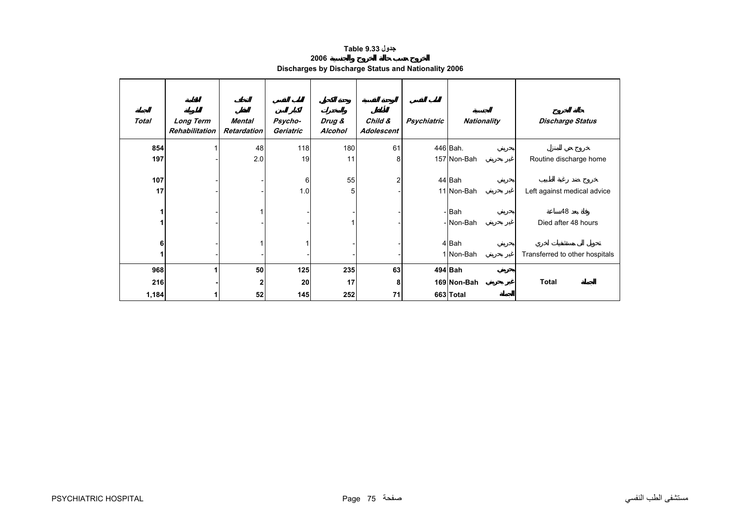## **جدول 9.33 Table**

**2006**

| -----                                               |  |  |
|-----------------------------------------------------|--|--|
| Discharges by Discharge Status and Nationality 2006 |  |  |

<span id="page-9-0"></span>

| <b>Total</b> | <b>Long Term</b><br>Rehabilitation | Mental<br><b>Retardation</b> | Psycho-<br>Geriatric | Drug &<br>Alcohol | Child &<br>Adolescent | Psychiatric | <b>Nationality</b>   | <b>Discharge Status</b>        |
|--------------|------------------------------------|------------------------------|----------------------|-------------------|-----------------------|-------------|----------------------|--------------------------------|
| 854          |                                    | 48                           | 118                  | 180               | 61                    |             | 446 Bah.             |                                |
| 197          |                                    | 2.0                          | 19                   | 11                | 8                     |             | 157 Non-Bah          | Routine discharge home         |
| 107<br>17    |                                    |                              | 6<br>1.0             | 55<br>5           | 2                     |             | 44 Bah<br>11 Non-Bah | Left against medical advice    |
| 1<br>1       |                                    |                              |                      |                   |                       |             | -Bah<br>- Non-Bah    | 48<br>Died after 48 hours      |
| 6<br>1       |                                    |                              |                      |                   |                       |             | 4 Bah<br>1 Non-Bah   | Transferred to other hospitals |
| 968          | 1                                  | 50                           | 125                  | 235               | 63                    |             | 494 Bah              |                                |
| 216          |                                    |                              | 20                   | 17                | 8                     |             | 169 Non-Bah          | <b>Total</b>                   |
| 1,184        |                                    | 52                           | 145                  | 252               | 71                    |             | 663 Total            |                                |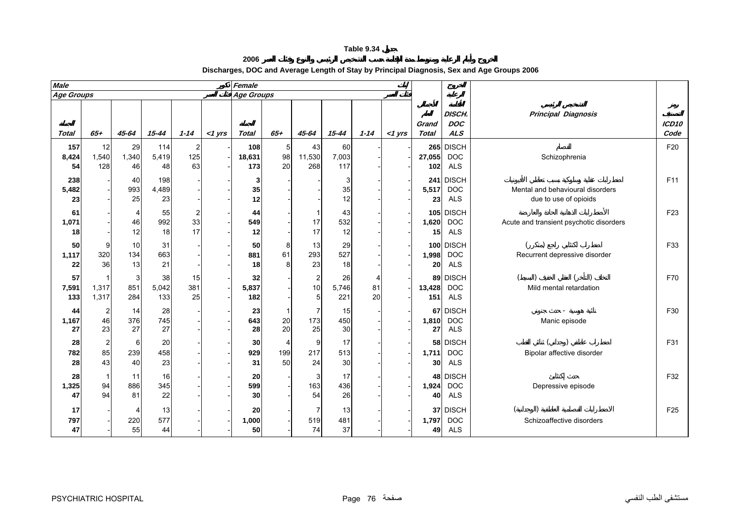**2006 Discharges, DOC and Average Length of Stay by Principal Diagnosis, Sex and Age Groups 2006**

<span id="page-10-0"></span>

| <b>Male</b>        |                                     |                             |                    |                             |           | Female               |                |                                        |                    |               |             |                       |                                           |                                                           |                           |
|--------------------|-------------------------------------|-----------------------------|--------------------|-----------------------------|-----------|----------------------|----------------|----------------------------------------|--------------------|---------------|-------------|-----------------------|-------------------------------------------|-----------------------------------------------------------|---------------------------|
| Age Groups         |                                     |                             |                    |                             |           | <b>Age Groups</b>    |                |                                        |                    |               |             |                       |                                           |                                                           |                           |
| <b>Total</b>       | $65+$                               | $45 - 64$                   | $15 - 44$          | $1 - 14$                    | $<$ 1 yrs | <b>Total</b>         | $65 +$         | $45 - 64$                              | $15 - 44$          | $1 - 14$      | $<$ 1 $Vrs$ | Grand<br><b>Total</b> | <b>DISCH.</b><br><b>DOC</b><br><b>ALS</b> | <b>Principal Diagnosis</b>                                | ICD <sub>10</sub><br>Code |
| 157<br>8,424<br>54 | 12<br>1,540<br>128                  | 29<br>1,340<br>46           | 114<br>5,419<br>48 | $\overline{2}$<br>125<br>63 |           | 108<br>18,631<br>173 | 5<br>98<br>20  | 43<br>11,530<br>268                    | 60<br>7,003<br>117 |               |             | 27,055<br>102         | 265 DISCH<br><b>DOC</b><br><b>ALS</b>     | Schizophrenia                                             | F20                       |
| 238<br>5,482<br>23 |                                     | 40<br>993<br>25             | 198<br>4,489<br>23 |                             |           | 3<br>35<br>12        |                |                                        | 3<br>35<br>12      |               |             | 241<br>5,517<br>23    | <b>DISCH</b><br><b>DOC</b><br><b>ALS</b>  | Mental and behavioural disorders<br>due to use of opioids | F11                       |
| 61<br>1,071<br>18  |                                     | 4<br>46<br>12               | 55<br>992<br>18    | $\overline{2}$<br>33<br>17  |           | 44<br>549<br>12      |                | 17<br>17                               | 43<br>532<br>12    |               |             | 1,620<br>15           | 105 DISCH<br><b>DOC</b><br><b>ALS</b>     | Acute and transient psychotic disorders                   | F <sub>23</sub>           |
| 50<br>1,117<br>22  | 9<br>320<br>36                      | 10<br>134<br>13             | 31<br>663<br>21    |                             |           | 50<br>881<br>18      | 8<br>61<br>8   | 13<br>293<br>23                        | 29<br>527<br>18    |               |             | 1,998<br>20           | 100 DISCH<br><b>DOC</b><br><b>ALS</b>     | Recurrent depressive disorder                             | F33                       |
| 57<br>7,591<br>133 | 1,317<br>1,317                      | 3<br>851<br>284             | 38<br>5,042<br>133 | 15<br>381<br>25             |           | 32<br>5,837<br>182   |                | $\overline{c}$<br>10<br>5 <sup>5</sup> | 26<br>5,746<br>221 | 4<br>81<br>20 |             | 13,428<br>151         | 89 DISCH<br><b>DOC</b><br><b>ALS</b>      | Mild mental retardation                                   | F70                       |
| 44<br>1,167<br>27  | $\overline{\mathbf{c}}$<br>46<br>23 | 14<br>376<br>27             | 28<br>745<br>27    |                             |           | 23<br>643<br>28      | 1<br>20<br>20  | 7<br>173<br>25                         | 15<br>450<br>30    |               |             | 1,810<br>27           | 67 DISCH<br><b>DOC</b><br><b>ALS</b>      | Manic episode                                             | F30                       |
| 28<br>782<br>28    | $\overline{2}$<br>85<br>43          | 6<br>239<br>40              | 20<br>458<br>23    |                             |           | 30<br>929<br>31      | 4<br>199<br>50 | 9<br>217<br>24                         | 17<br>513<br>30    |               |             | 1,711<br>30           | 58 DISCH<br><b>DOC</b><br><b>ALS</b>      | Bipolar affective disorder                                | F31                       |
| 28<br>1,325<br>47  | $\overline{1}$<br>94<br>94          | 11<br>886<br>81             | 16<br>345<br>22    |                             |           | 20<br>599<br>30      |                | 3<br>163<br>54                         | 17<br>436<br>26    |               |             | 1,924<br>40           | 48 DISCH<br><b>DOC</b><br><b>ALS</b>      | Depressive episode                                        | F32                       |
| 17<br>797<br>47    |                                     | $\overline{4}$<br>220<br>55 | 13<br>577<br>44    |                             |           | 20<br>1,000<br>50    |                | 7<br>519<br>74                         | 13<br>481<br>37    |               |             | 1,797<br>49           | 37 DISCH<br><b>DOC</b><br><b>ALS</b>      | Schizoaffective disorders                                 | F <sub>25</sub>           |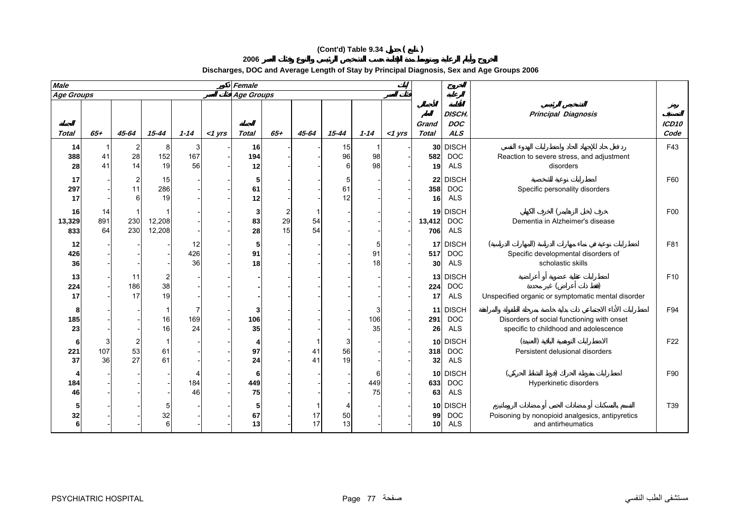# **(Cont'd) Table 9.34 ( )**

**2006**

**Discharges, DOC and Average Length of Stay by Principal Diagnosis, Sex and Age Groups 2006**

| <b>Male</b>         |                 |                                             |                             |                 |           | Female          |               |                      |               |                |           |                              |                                          |                                                                                     |                           |
|---------------------|-----------------|---------------------------------------------|-----------------------------|-----------------|-----------|-----------------|---------------|----------------------|---------------|----------------|-----------|------------------------------|------------------------------------------|-------------------------------------------------------------------------------------|---------------------------|
| <b>Age Groups</b>   |                 |                                             |                             |                 |           | Age Groups      |               |                      |               |                |           |                              |                                          |                                                                                     |                           |
| <b>Total</b>        | $65+$           | 45-64                                       | $15 - 44$                   | $1 - 14$        | $<$ 1 yrs | <b>Total</b>    | $65 +$        | 45-64                | $15 - 44$     | $1 - 14$       | $<$ 1 yrs | Grand<br>Total               | DISCH.<br><b>DOC</b><br>ALS              | <b>Principal Diagnosis</b>                                                          | ICD <sub>10</sub><br>Code |
| 14<br>388<br>28     | 41<br>41        | $\mathbf{2}$<br>28<br>14                    | 8<br>152<br>19              | 3<br>167<br>56  |           | 16<br>194<br>12 |               |                      | 15<br>96<br>6 | 98<br>98       |           | 30 <sup>1</sup><br>582<br>19 | <b>DISCH</b><br><b>DOC</b><br><b>ALS</b> | Reaction to severe stress, and adjustment<br>disorders                              | F43                       |
| 17<br>297<br>17     |                 | $\begin{array}{c} 2 \\ 11 \end{array}$<br>6 | 15<br>286<br>19             |                 |           | 5<br>61<br>12   |               |                      | 5<br>61<br>12 |                |           | 22<br>358<br>16              | <b>DISCH</b><br><b>DOC</b><br><b>ALS</b> | Specific personality disorders                                                      | F60                       |
| 16<br>13,329<br>833 | 14<br>891<br>64 | 230<br>230                                  | 12,208<br>12,208            |                 |           | 3<br>83<br>28   | 2<br>29<br>15 | 54<br>54             |               |                |           | 13,412<br>706                | 19 DISCH<br><b>DOC</b><br><b>ALS</b>     | Dementia in Alzheimer's disease                                                     | F00                       |
| 12<br>426<br>36     |                 |                                             |                             | 12<br>426<br>36 |           | 5<br>91<br>18   |               |                      |               | 5<br>91<br>18  |           | 17<br>517<br>30              | <b>DISCH</b><br><b>DOC</b><br><b>ALS</b> | $\overline{(}$<br>Specific developmental disorders of<br>scholastic skills          | F81                       |
| 13<br>224<br>17     |                 | 11<br>186<br>17                             | 2<br>38<br>19               |                 |           |                 |               |                      |               |                |           | 13<br>224<br>17              | <b>DISCH</b><br><b>DOC</b><br><b>ALS</b> | Unspecified organic or symptomatic mental disorder                                  | F <sub>10</sub>           |
| 8<br>185<br>23      |                 |                                             | 16<br>16                    | 169<br>24       |           | 3<br>106<br>35  |               |                      |               | 3<br>106<br>35 |           | 11<br>291<br>26              | <b>DISCH</b><br><b>DOC</b><br><b>ALS</b> | Disorders of social functioning with onset<br>specific to childhood and adolescence | F94                       |
| 6<br>221<br>37      | 3<br>107<br>36  | $\overline{\mathbf{c}}$<br>53<br>27         | 61<br>61                    |                 |           | 4<br>97<br>24   |               | 4 <sup>1</sup><br>41 | 3<br>56<br>19 |                |           | 10 <sup>1</sup><br>318<br>32 | <b>DISCH</b><br><b>DOC</b><br><b>ALS</b> | Persistent delusional disorders                                                     | F <sub>22</sub>           |
| 184<br>46           |                 |                                             |                             | 184<br>46       |           | 6<br>449<br>75  |               |                      |               | 6<br>449<br>75 |           | 10 <sup>1</sup><br>633<br>63 | <b>DISCH</b><br><b>DOC</b><br><b>ALS</b> | Hyperkinetic disorders                                                              | F90                       |
| 32<br>6             |                 |                                             | 5<br>32<br>$6 \overline{6}$ |                 |           | 5<br>67<br>13   |               | 17<br>17             | 50<br>13      |                |           | 99<br>10 <sub>l</sub>        | 10 DISCH<br><b>DOC</b><br><b>ALS</b>     | Poisoning by nonopioid analgesics, antipyretics<br>and antirheumatics               | T39                       |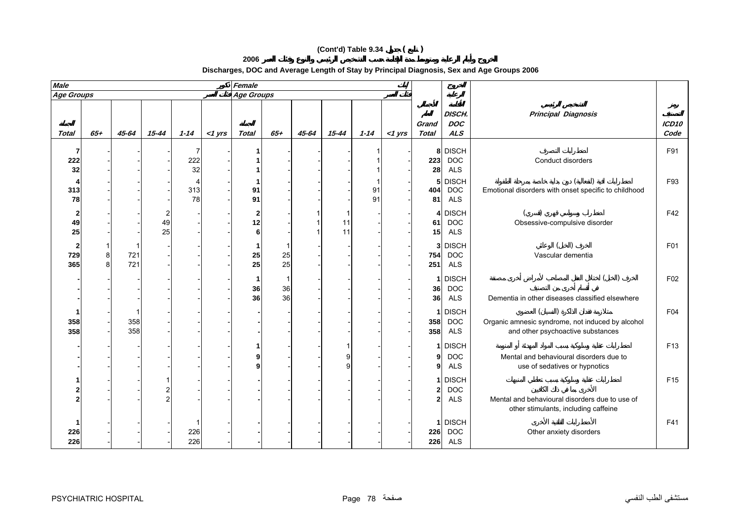# **(Cont'd) Table 9.34 ( )**

**2006**

**Discharges, DOC and Average Length of Stay by Principal Diagnosis, Sex and Age Groups 2006**

| <b>Male</b>       |        |            |           |                |           | Female                 |          |       |           |          |           |                                   |                                          |                                                                                        |                 |
|-------------------|--------|------------|-----------|----------------|-----------|------------------------|----------|-------|-----------|----------|-----------|-----------------------------------|------------------------------------------|----------------------------------------------------------------------------------------|-----------------|
| <b>Age Groups</b> |        |            |           |                |           | <b>Age Groups</b>      |          |       |           |          |           |                                   |                                          |                                                                                        |                 |
| <b>Total</b>      | $65+$  | 45-64      | $15 - 44$ | $1 - 14$       | $<$ 1 yrs | <b>Total</b>           | $65 +$   | 45-64 | $15 - 44$ | $1 - 14$ | $<$ 1 yrs | Grand<br><b>Total</b>             | DISCH.<br><b>DOC</b><br><b>ALS</b>       | <b>Principal Diagnosis</b>                                                             | ICD10<br>Code   |
| 222<br>32         |        |            |           | 7<br>222<br>32 |           |                        |          |       |           |          |           | 223<br>28                         | 8 DISCH<br><b>DOC</b><br><b>ALS</b>      | Conduct disorders                                                                      | F91             |
| 313<br>78         |        |            |           | 313<br>78      |           | 91<br>91               |          |       |           | 91<br>91 |           | 5 <sub>l</sub><br>404<br>81       | <b>DISCH</b><br><b>DOC</b><br><b>ALS</b> | Emotional disorders with onset specific to childhood                                   | F93             |
| 49<br>25          |        |            | 49<br>25  |                |           | $\mathbf 2$<br>12<br>6 |          |       | 11<br>11  |          |           | $\overline{4}$<br>61<br>15        | <b>DISCH</b><br><b>DOC</b><br><b>ALS</b> | Obsessive-compulsive disorder                                                          | F42             |
| 2<br>729<br>365   | 8<br>8 | 721<br>721 |           |                |           | 1<br>25<br>25          | 25<br>25 |       |           |          |           | 3 <sup>1</sup><br>754<br>251      | <b>DISCH</b><br><b>DOC</b><br><b>ALS</b> | Vascular dementia                                                                      | F01             |
|                   |        |            |           |                |           | -1<br>36<br>36         | 36<br>36 |       |           |          |           | 1<br>36<br>36                     | <b>DISCH</b><br><b>DOC</b><br>ALS        | Dementia in other diseases classified elsewhere                                        | F02             |
| 358<br>358        |        | 358<br>358 |           |                |           |                        |          |       |           |          |           | 358<br>358                        | 1 DISCH<br><b>DOC</b><br><b>ALS</b>      | Organic amnesic syndrome, not induced by alcohol<br>and other psychoactive substances  | F04             |
|                   |        |            |           |                |           | 9<br>9                 |          |       |           |          |           | $\mathbf{1}$<br>9<br>9            | <b>DISCH</b><br><b>DOC</b><br><b>ALS</b> | Mental and behavioural disorders due to<br>use of sedatives or hypnotics               | F <sub>13</sub> |
|                   |        |            |           |                |           |                        |          |       |           |          |           | 1<br>$\mathbf{2}$<br>$\mathbf{2}$ | <b>DISCH</b><br><b>DOC</b><br><b>ALS</b> | Mental and behavioural disorders due to use of<br>other stimulants, including caffeine | F <sub>15</sub> |
| 226<br>226        |        |            |           | 226<br>226     |           |                        |          |       |           |          |           | 1<br>226<br>226                   | <b>DISCH</b><br><b>DOC</b><br><b>ALS</b> | Other anxiety disorders                                                                | F41             |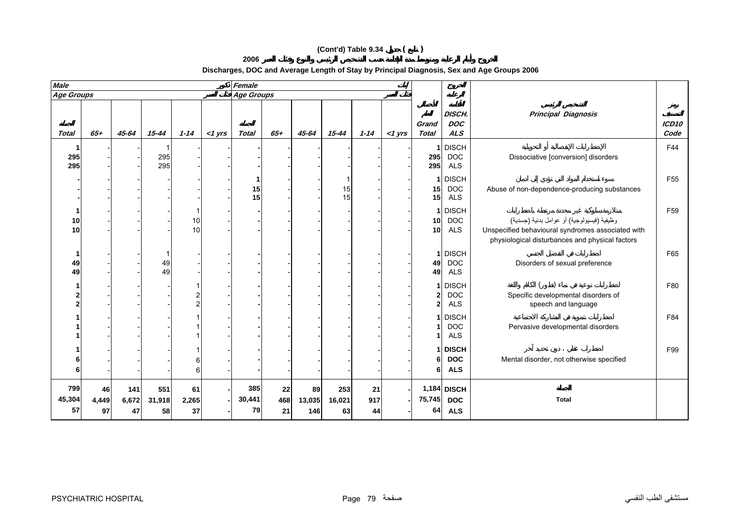# **(Cont'd) Table 9.34 ( )**

**2006**

**Discharges, DOC and Average Length of Stay by Principal Diagnosis, Sex and Age Groups 2006**

| <b>Male</b>         |                   |                    |                     |                   |           | Female              |                 |                     |                     |                 |           |                       |                                          |                                                                                                                                                    |                           |
|---------------------|-------------------|--------------------|---------------------|-------------------|-----------|---------------------|-----------------|---------------------|---------------------|-----------------|-----------|-----------------------|------------------------------------------|----------------------------------------------------------------------------------------------------------------------------------------------------|---------------------------|
| <b>Age Groups</b>   |                   |                    |                     |                   |           | Age Groups          |                 |                     |                     |                 |           |                       |                                          |                                                                                                                                                    |                           |
| <b>Total</b>        | $65+$             | 45-64              | $15 - 44$           | $1 - 14$          | $<$ 1 yrs | <b>Total</b>        | $65 +$          | 45-64               | 15-44               | $1 - 14$        | $<$ 1 yrs | Grand<br><b>Total</b> | DISCH.<br><b>DOC</b><br>ALS              | <b>Principal Diagnosis</b>                                                                                                                         | ICD <sub>10</sub><br>Code |
| 295<br>295          |                   |                    | 295<br>295          |                   |           |                     |                 |                     |                     |                 |           | 295<br>295            | <b>DISCH</b><br><b>DOC</b><br><b>ALS</b> | Dissociative [conversion] disorders                                                                                                                | F44                       |
|                     |                   |                    |                     |                   |           | 15<br>15            |                 |                     | 15<br>15            |                 |           | 15 <sub>l</sub><br>15 | 1 DISCH<br><b>DOC</b><br>ALS             | Abuse of non-dependence-producing substances                                                                                                       | F <sub>55</sub>           |
| 10<br>10            |                   |                    |                     | 10<br>10          |           |                     |                 |                     |                     |                 |           | 10 <sub>l</sub><br>10 | 1 DISCH<br><b>DOC</b><br><b>ALS</b>      | وظيفية (فيسيولوجية) أو عوامل بدنية (جسدية)<br>Unspecified behavioural syndromes associated with<br>physiological disturbances and physical factors | F <sub>59</sub>           |
| 49<br>49            |                   |                    | 49<br>49            |                   |           |                     |                 |                     |                     |                 |           | 49<br>49              | 1 DISCH<br><b>DOC</b><br><b>ALS</b>      | Disorders of sexual preference                                                                                                                     | F65                       |
|                     |                   |                    |                     |                   |           |                     |                 |                     |                     |                 |           | 2                     | 1 DISCH<br><b>DOC</b><br><b>ALS</b>      | Specific developmental disorders of<br>speech and language                                                                                         | F80                       |
|                     |                   |                    |                     |                   |           |                     |                 |                     |                     |                 |           |                       | <b>DISCH</b><br><b>DOC</b><br><b>ALS</b> | Pervasive developmental disorders                                                                                                                  | F84                       |
|                     |                   |                    |                     |                   |           |                     |                 |                     |                     |                 |           | 6                     | <b>DISCH</b><br><b>DOC</b><br><b>ALS</b> | Mental disorder, not otherwise specified                                                                                                           | F99                       |
| 799<br>45,304<br>57 | 46<br>4,449<br>97 | 141<br>6,672<br>47 | 551<br>31,918<br>58 | 61<br>2,265<br>37 |           | 385<br>30,441<br>79 | 22<br>468<br>21 | 89<br>13,035<br>146 | 253<br>16,021<br>63 | 21<br>917<br>44 |           | 75,745<br>64          | 1,184 DISCH<br><b>DOC</b><br><b>ALS</b>  | <b>Total</b>                                                                                                                                       |                           |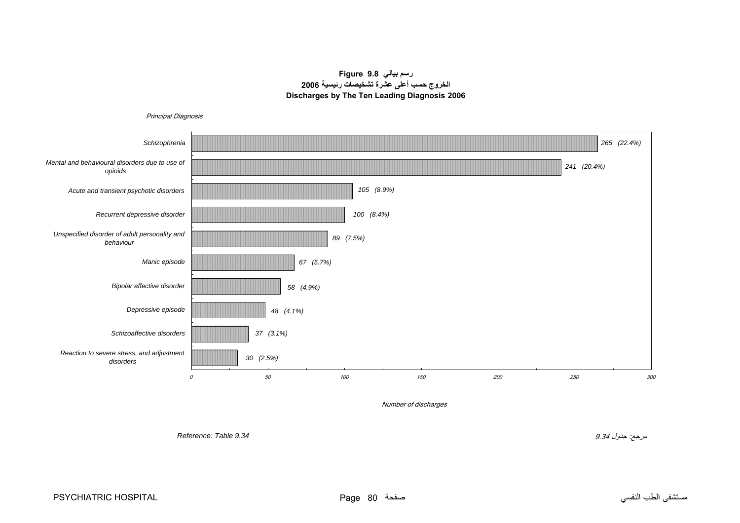# **رسم بياني 9.8 Figure الخروج حسب أعلى عشرة تشخيصات رئيسية <sup>2006</sup> Discharges by The Ten Leading Diagnosis 2006**

<span id="page-14-0"></span>

مستشفى الطب النفسي صفحة 80 Page HOSPITAL PSYCHIATRIC